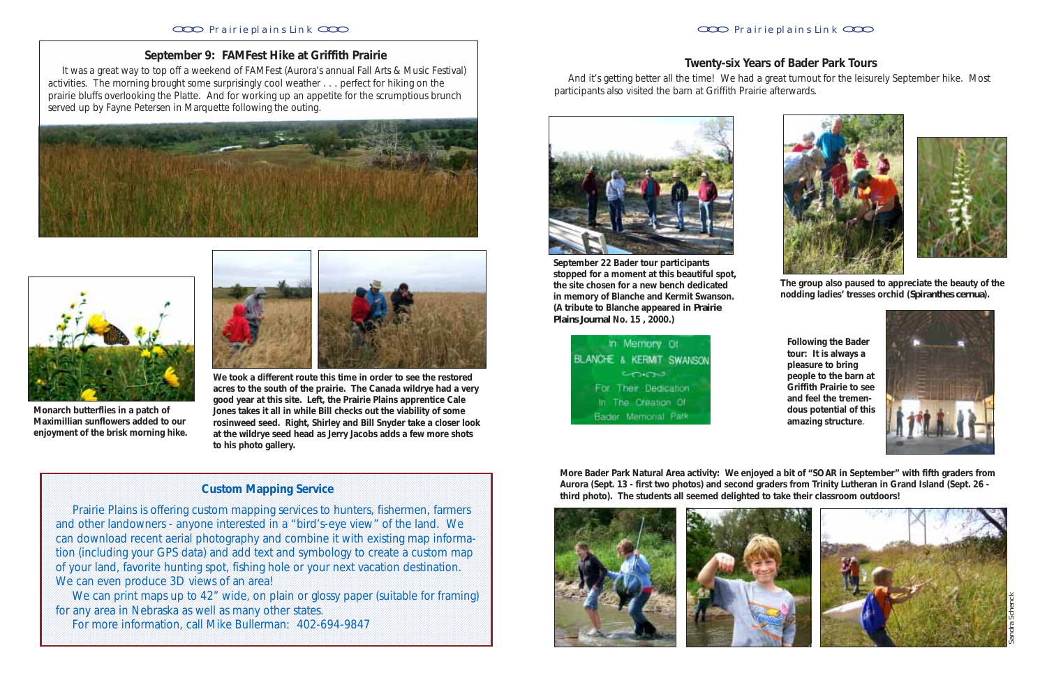# **September 9: FAMFest Hike at Griffith Prairie**

 It was a great way to top off a weekend of FAMFest (Aurora's annual Fall Arts & Music Festival) activities. The morning brought some surprisingly cool weather . . . perfect for hiking on the prairie bluffs overlooking the Platte. And for working up an appetite for the scrumptious brunch served up by Fayne Petersen in Marquette following the outing.





**We took a different route this time in order to see the restored acres to the south of the prairie. The Canada wildrye had a very good year at this site. Left, the Prairie Plains apprentice Cale Jones takes it all in while Bill checks out the viability of some rosinweed seed. Right, Shirley and Bill Snyder take a closer look at the wildrye seed head as Jerry Jacobs adds a few more shots to his photo gallery.**

**Monarch butterflies in a patch of Maximillian sunflowers added to our enjoyment of the brisk morning hike.**



123456789012345678901234567890121234567890123456789012345678901212345678901234567890123456789012123456789012345678901234567890121234567890123456789012345678901212345678901234567

**1** Prairie Plains is offering custom mapping services to hunters, fishermen, farmers 1 7 and other landowners - anyone interested in a "bird's-eye view" of the land. We 1 7 can download recent aerial photography and combine it with existing map informa-1 7 tion (including your GPS data) and add text and symbology to create a custom map 1 7 of your land, favorite hunting spot, fishing hole or your next vacation destination. 1 We can even produce 3D views of an area! The same way to the can even produce 3D views of an area!

We can print maps up to 42" wide, on plain or glossy paper (suitable for framing) 1 for any area in Nebraska as well as many other states. The many that is not the states of the states of the states of the states of the states. The states of the states of the states of the states of the states of the st 1 For more information, call Mike Bullerman: 402-694-9847

#### 123456789012345678901234567890121234567890123456789012345678901212345678901234567890123456789012123456789012345678901234567890121234567890123456789012345678901212345678901234567 1 7 1 7 1 7 1 7 1 7 1 7 1 7 **Custom Mapping Service** 1 7 1 7 1 7

1 7 1 7 1 7 1 7 1 7 123456789012345678901234567890121234567890123456789012345678901212345678901234567890123456789012123456789012345678901234567890121234567890123456789012345678901212345678901234567

### Prairie plains Link CCC **Prairie plains Link** CCC **Prairie plains Link** CCC

## **Twenty-six Years of Bader Park Tours**

 And it's getting better all the time! We had a great turnout for the leisurely September hike. Most participants also visited the barn at Griffith Prairie afterwards.



**September 22 Bader tour participants stopped for a moment at this beautiful spot, the site chosen for a new bench dedicated in memory of Blanche and Kermit Swanson. (A tribute to Blanche appeared in** *Prairie Plains Journal* **No. 15 , 2000.)**





**The group also paused to appreciate the beauty of the nodding ladies' tresses orchid (***Spiranthes cernua***).**

**Following the Bader tour: It is always a pleasure to bring people to the barn at Griffith Prairie to see and feel the tremendous potential of this amazing structure**.





**More Bader Park Natural Area activity: We enjoyed a bit of "SOAR in September" with fifth graders from Aurora (Sept. 13 - first two photos) and second graders from Trinity Lutheran in Grand Island (Sept. 26 third photo). The students all seemed delighted to take their classroom outdoors!**







Sandra Schenck